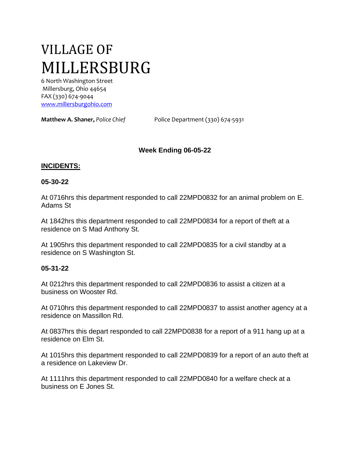# VILLAGE OF MILLERSBURG

6 North Washington Street Millersburg, Ohio 44654 FAX (330) 674-9044 [www.millersburgohio.com](http://www.millersburgohio.com/)

**Matthew A. Shaner,** *Police Chief* Police Department (330) 674-5931

# **Week Ending 06-05-22**

## **INCIDENTS:**

### **05-30-22**

At 0716hrs this department responded to call 22MPD0832 for an animal problem on E. Adams St

At 1842hrs this department responded to call 22MPD0834 for a report of theft at a residence on S Mad Anthony St.

At 1905hrs this department responded to call 22MPD0835 for a civil standby at a residence on S Washington St.

#### **05-31-22**

At 0212hrs this department responded to call 22MPD0836 to assist a citizen at a business on Wooster Rd.

At 0710hrs this department responded to call 22MPD0837 to assist another agency at a residence on Massillon Rd.

At 0837hrs this depart responded to call 22MPD0838 for a report of a 911 hang up at a residence on Elm St.

At 1015hrs this department responded to call 22MPD0839 for a report of an auto theft at a residence on Lakeview Dr.

At 1111hrs this department responded to call 22MPD0840 for a welfare check at a business on E Jones St.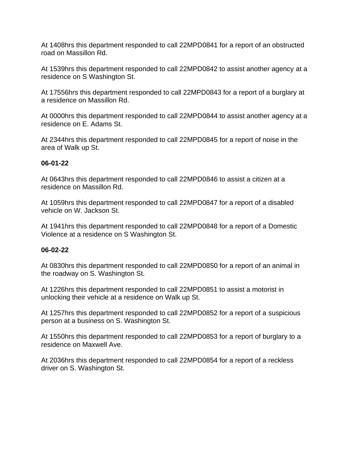At 1408hrs this department responded to call 22MPD0841 for a report of an obstructed road on Massillon Rd.

At 1539hrs this department responded to call 22MPD0842 to assist another agency at a residence on S Washington St.

At 17556hrs this department responded to call 22MPD0843 for a report of a burglary at a residence on Massillon Rd.

At 0000hrs this department responded to call 22MPD0844 to assist another agency at a residence on E. Adams St.

At 2344hrs this department responded to call 22MPD0845 for a report of noise in the area of Walk up St.

# **06-01-22**

At 0643hrs this department responded to call 22MPD0846 to assist a citizen at a residence on Massillon Rd.

At 1059hrs this department responded to call 22MPD0847 for a report of a disabled vehicle on W. Jackson St.

At 1941hrs this department responded to call 22MPD0848 for a report of a Domestic Violence at a residence on S Washington St.

# **06-02-22**

At 0830hrs this department responded to call 22MPD0850 for a report of an animal in the roadway on S. Washington St.

At 1226hrs this department responded to call 22MPD0851 to assist a motorist in unlocking their vehicle at a residence on Walk up St.

At 1257hrs this department responded to call 22MPD0852 for a report of a suspicious person at a business on S. Washington St.

At 1550hrs this department responded to call 22MPD0853 for a report of burglary to a residence on Maxwell Ave.

At 2036hrs this department responded to call 22MPD0854 for a report of a reckless driver on S. Washington St.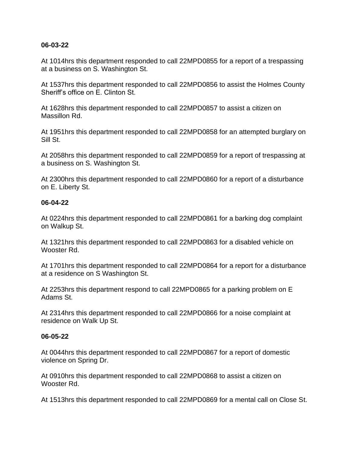## **06-03-22**

At 1014hrs this department responded to call 22MPD0855 for a report of a trespassing at a business on S. Washington St.

At 1537hrs this department responded to call 22MPD0856 to assist the Holmes County Sheriff's office on E. Clinton St.

At 1628hrs this department responded to call 22MPD0857 to assist a citizen on Massillon Rd.

At 1951hrs this department responded to call 22MPD0858 for an attempted burglary on Sill St.

At 2058hrs this department responded to call 22MPD0859 for a report of trespassing at a business on S. Washington St.

At 2300hrs this department responded to call 22MPD0860 for a report of a disturbance on E. Liberty St.

#### **06-04-22**

At 0224hrs this department responded to call 22MPD0861 for a barking dog complaint on Walkup St.

At 1321hrs this department responded to call 22MPD0863 for a disabled vehicle on Wooster Rd.

At 1701hrs this department responded to call 22MPD0864 for a report for a disturbance at a residence on S Washington St.

At 2253hrs this department respond to call 22MPD0865 for a parking problem on E Adams St.

At 2314hrs this department responded to call 22MPD0866 for a noise complaint at residence on Walk Up St.

#### **06-05-22**

At 0044hrs this department responded to call 22MPD0867 for a report of domestic violence on Spring Dr.

At 0910hrs this department responded to call 22MPD0868 to assist a citizen on Wooster Rd.

At 1513hrs this department responded to call 22MPD0869 for a mental call on Close St.